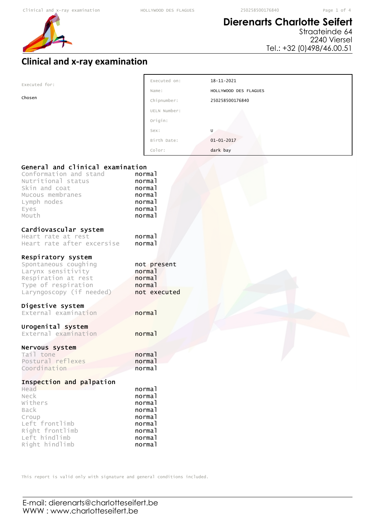Executed on: 18-11-2021



# **Dierenarts Charlotte Seifert**

Straateinde 64 2240 Viersel Tel.: +32 (0)498/46.00.51

## **Clinical and x-ray examination**

| Executed for:                       |                  |                       |
|-------------------------------------|------------------|-----------------------|
|                                     | Name:            | HOLLYWOOD DES FLAGUES |
| Chosen                              | Chipnumber:      | 250258500176840       |
|                                     | UELN Number:     |                       |
|                                     | Origin:          |                       |
|                                     | Sex:             | U.                    |
|                                     | Birth Date:      | $01 - 01 - 2017$      |
|                                     | Color:           | dark bay              |
|                                     |                  |                       |
| General and clinical examination    |                  |                       |
| Conformation and stand              | normal           |                       |
| Nutritional status<br>Skin and coat | normal           |                       |
| Mucous membranes                    | normal<br>normal |                       |
| Lymph nodes                         | normal           |                       |
| Eyes                                | normal           |                       |
| Mouth                               | normal           |                       |
| Cardiovascular system               |                  |                       |
| Heart rate at rest                  | normal           |                       |
| Heart rate after excersise          | normal           |                       |
| Respiratory system                  |                  |                       |
| Spontaneous coughing                | not present      |                       |
| Larynx sensitivity                  | normal           |                       |
| Respiration at rest                 | normal           |                       |
| Type of respiration                 | normal           |                       |
| Laryngoscopy (if needed)            | not executed     |                       |
| Digestive system                    |                  |                       |
| External examination                | normal           |                       |
| Urogenital system                   |                  |                       |
| External examination                | normal           |                       |
| Nervous system                      |                  |                       |
| Tail tone                           | normal           |                       |
| Postural reflexes                   | normal           |                       |
| Coordination                        | normal           |                       |
| Inspection and palpation            |                  |                       |
| Head                                | normal           |                       |
| Neck                                | normal           |                       |
| Withers<br>Back                     | normal<br>normal |                       |
| Croup                               | normal           |                       |
| Left frontlimb                      | normal           |                       |
| Right frontlimb                     | normal           |                       |
| Left hindlimb                       | normal           |                       |
| Right hindlimb                      | normal           |                       |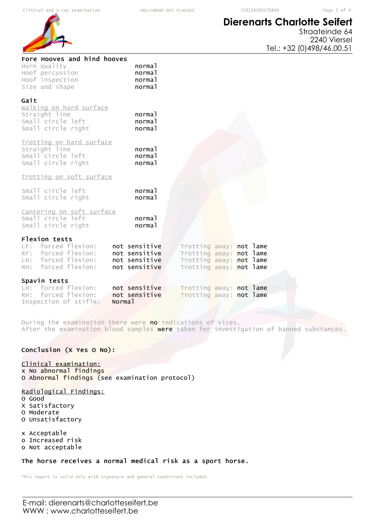# **Dierenarts Charlotte Seifert**



Straateinde 64 2240 Viersel Tel.: +32 (0)498/46.00.51

| Fore Hooves and hind hooves<br>Horn quality<br>Hoof percussion<br>Hoof inspection<br>Size and shape       | normal<br>normal<br>normal<br>normal                             |                                                                                                          |  |  |
|-----------------------------------------------------------------------------------------------------------|------------------------------------------------------------------|----------------------------------------------------------------------------------------------------------|--|--|
| Gait<br>walking on hard surface<br>Straight line<br>Small circle left<br>Small circle right               | normal<br>normal<br>normal                                       |                                                                                                          |  |  |
| Trotting on hard surface<br>Straight line<br>Small circle left<br>Small circle right                      | normal<br>normal<br>normal                                       |                                                                                                          |  |  |
| Trotting on soft surface                                                                                  |                                                                  |                                                                                                          |  |  |
| Small circle left<br>Small circle right                                                                   | normal<br>normal                                                 |                                                                                                          |  |  |
| Cantering on soft surface<br>Small circle left<br>Small circle right                                      | normal<br>normal                                                 |                                                                                                          |  |  |
| Flexion tests<br>LF: forced flexion:<br>RF: forced flexion:<br>LH: forced flexion:<br>RH: forced flexion: | not sensitive<br>not sensitive<br>not sensitive<br>not sensitive | Trotting away: not lame<br>Trotting away: not lame<br>Trotting away: not lame<br>Trotting away: not lame |  |  |
| Spavin tests<br>LH: forced flexion:                                                                       |                                                                  |                                                                                                          |  |  |
| RH: forced flexion:<br>Inspection of stifle:<br>Norma <sub>1</sub>                                        | not sensitive<br>not sensitive                                   | Trotting away: not lame<br>Trotting away: not lame                                                       |  |  |

During the examination there were no indications of vices. After the examination blood samples were taken for investigation of banned substances.

### Conclusion (X Yes O No):

### Clinical examination:

x No abnormal findings O Abnormal findings (see examination protocol)

### Radiological Findings:

- O Good
- X Satisfactory O Moderate
- O Unsatisfactory

x Acceptable o Increased risk

o Not acceptable

### The horse receives a normal medical risk as a sport horse.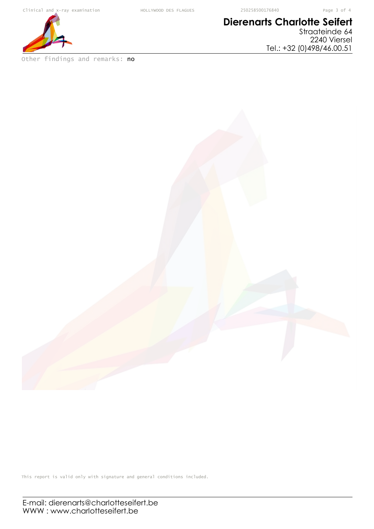

Other findings and remarks: no

# **Dierenarts Charlotte Seifert**

Straateinde 64 2240 Viersel Tel.: +32 (0)498/46.00.51